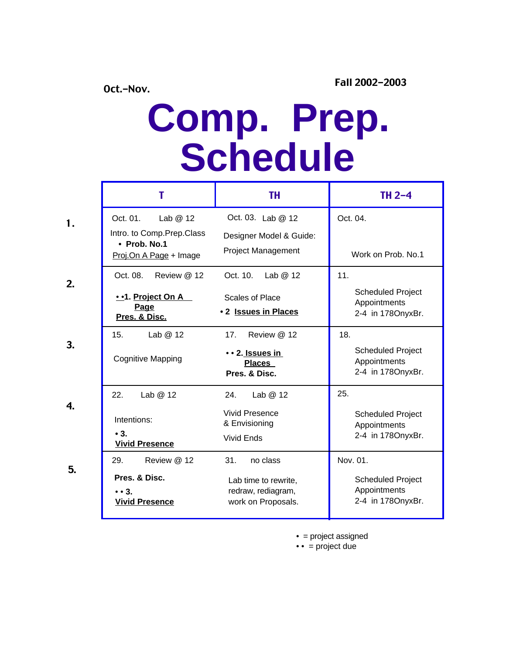## **Comp. Prep. Schedule**

|                  |                                                                                             | <b>TH</b>                                                                            | TH $2-4$                                                                  |
|------------------|---------------------------------------------------------------------------------------------|--------------------------------------------------------------------------------------|---------------------------------------------------------------------------|
| 1.               | Oct. 01.<br>Lab @ 12<br>Intro. to Comp.Prep.Class<br>• Prob. No.1<br>Proj.On A Page + Image | Oct. 03. Lab @ 12<br>Designer Model & Guide:<br><b>Project Management</b>            | Oct. 04.<br>Work on Prob. No.1                                            |
| 2.               | Oct. 08.<br>Review @ 12<br>••1. Project On A<br>Page<br>Pres. & Disc.                       | Oct. 10.<br>Lab $@12$<br>Scales of Place<br>• 2 Issues in Places                     | 11.<br><b>Scheduled Project</b><br>Appointments<br>2-4 in 1780nyxBr.      |
| 3.               | Lab $@12$<br>15.<br><b>Cognitive Mapping</b>                                                | Review @ 12<br>17 <sub>1</sub><br>• • 2. Issues in<br><b>Places</b><br>Pres. & Disc. | 18.<br><b>Scheduled Project</b><br>Appointments<br>2-4 in 1780nyxBr.      |
| $\overline{4}$ . | 22.<br>Lab @ 12<br>Intentions:<br>$\bullet$ 3.<br><b>Vivid Presence</b>                     | 24.<br>Lab $@12$<br><b>Vivid Presence</b><br>& Envisioning<br><b>Vivid Ends</b>      | 25.<br><b>Scheduled Project</b><br>Appointments<br>2-4 in 1780nyxBr.      |
| 5.               | Review @ 12<br>29.<br>Pres. & Disc.<br>$\bullet$ $\bullet$ 3.<br><b>Vivid Presence</b>      | 31.<br>no class<br>Lab time to rewrite,<br>redraw, rediagram,<br>work on Proposals.  | Nov. 01.<br><b>Scheduled Project</b><br>Appointments<br>2-4 in 1780nyxBr. |

• = project assigned

 $\bullet \bullet$  = project due